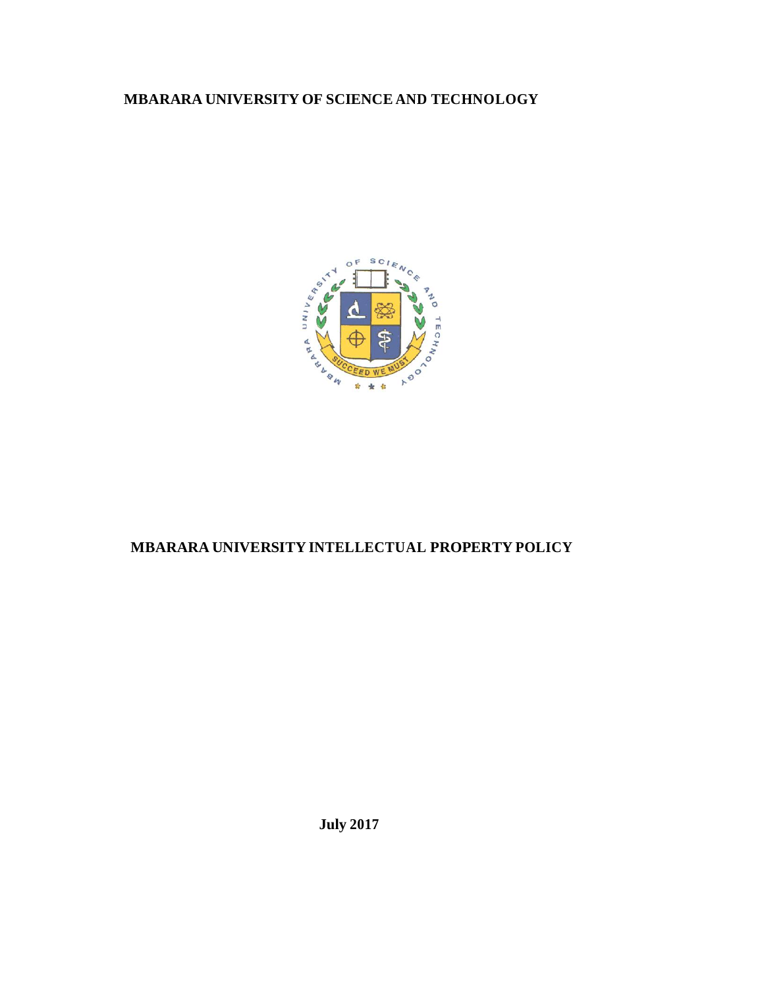# **MBARARA UNIVERSITY OF SCIENCE AND TECHNOLOGY**



# **MBARARA UNIVERSITY INTELLECTUAL PROPERTY POLICY**

**July 2017**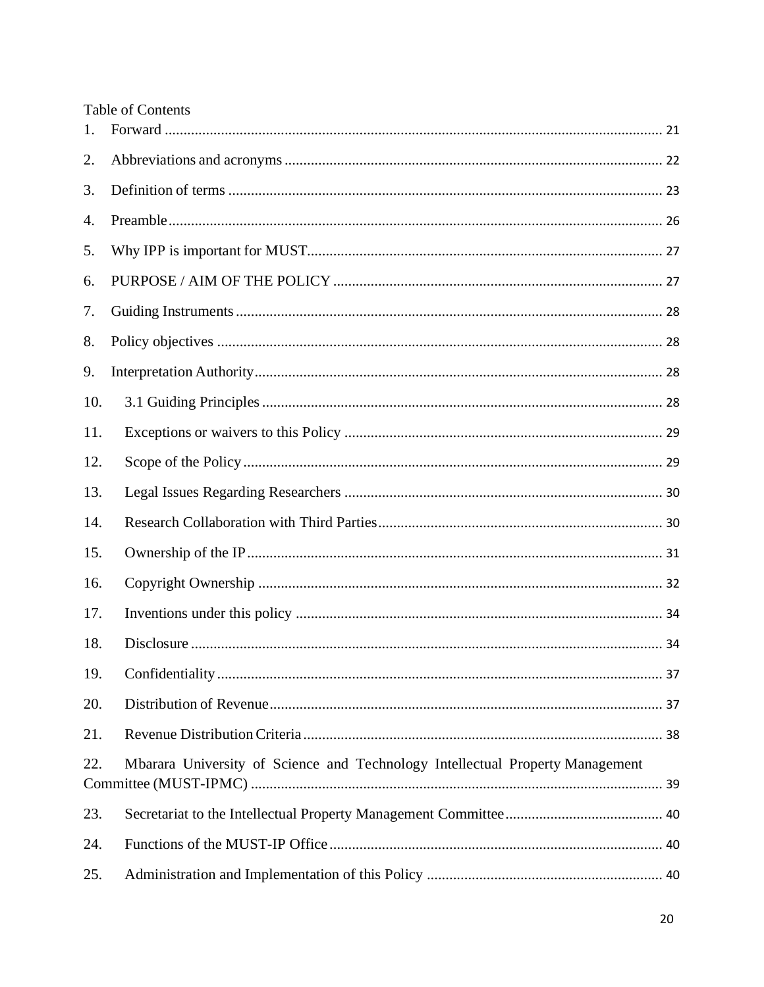|     | <b>Table of Contents</b>                                                      |  |
|-----|-------------------------------------------------------------------------------|--|
| 1.  |                                                                               |  |
| 2.  |                                                                               |  |
| 3.  |                                                                               |  |
| 4.  |                                                                               |  |
| 5.  |                                                                               |  |
| 6.  |                                                                               |  |
| 7.  |                                                                               |  |
| 8.  |                                                                               |  |
| 9.  |                                                                               |  |
| 10. |                                                                               |  |
| 11. |                                                                               |  |
| 12. |                                                                               |  |
| 13. |                                                                               |  |
| 14. |                                                                               |  |
| 15. |                                                                               |  |
| 16. |                                                                               |  |
| 17. |                                                                               |  |
| 18. |                                                                               |  |
| 19. |                                                                               |  |
| 20. |                                                                               |  |
| 21. |                                                                               |  |
| 22. | Mbarara University of Science and Technology Intellectual Property Management |  |
| 23. |                                                                               |  |
| 24. |                                                                               |  |
| 25. |                                                                               |  |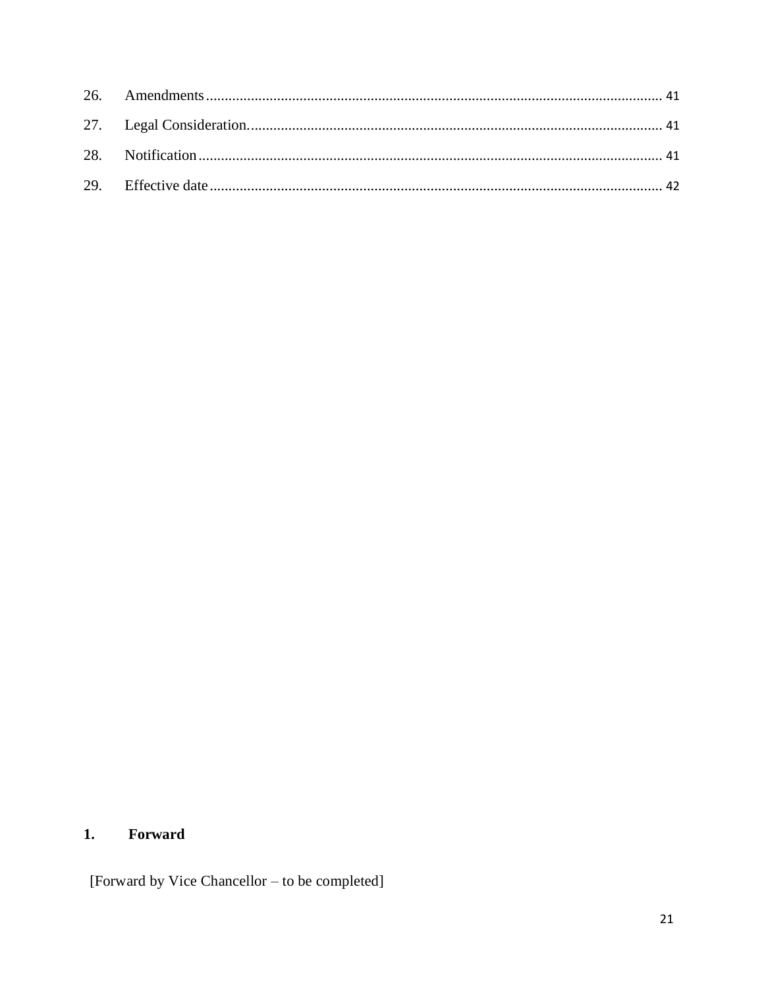#### <span id="page-2-0"></span>Forward  $1.$

[Forward by Vice Chancellor - to be completed]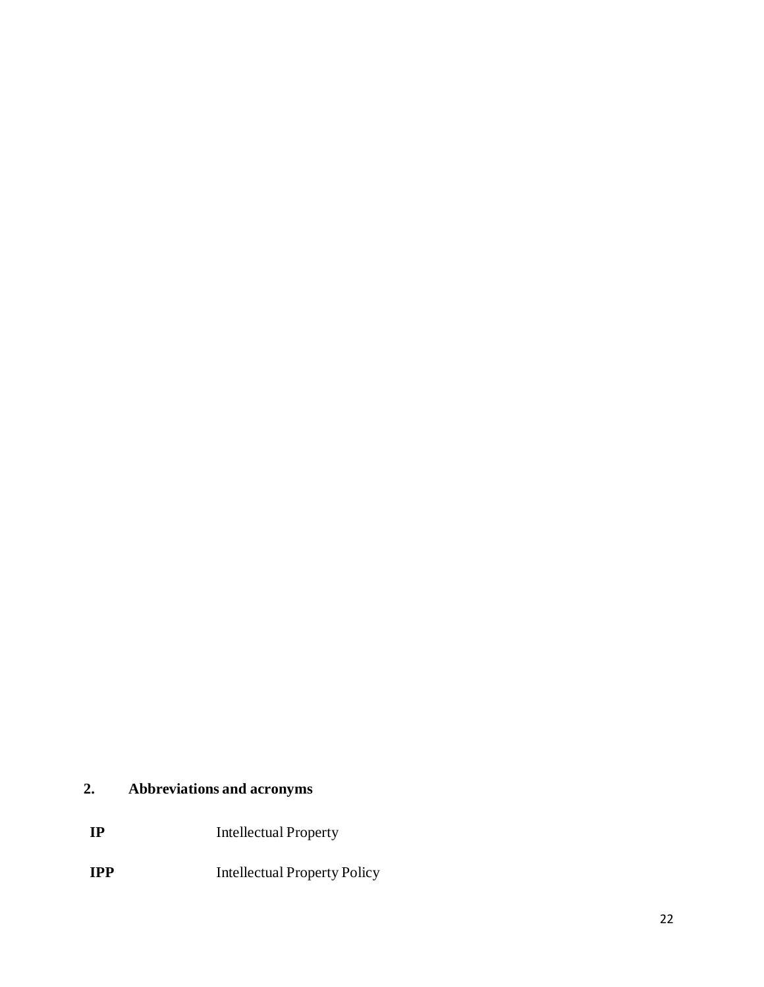# <span id="page-3-0"></span>**2. Abbreviations and acronyms**

- **IP** Intellectual Property
- **IPP** Intellectual Property Policy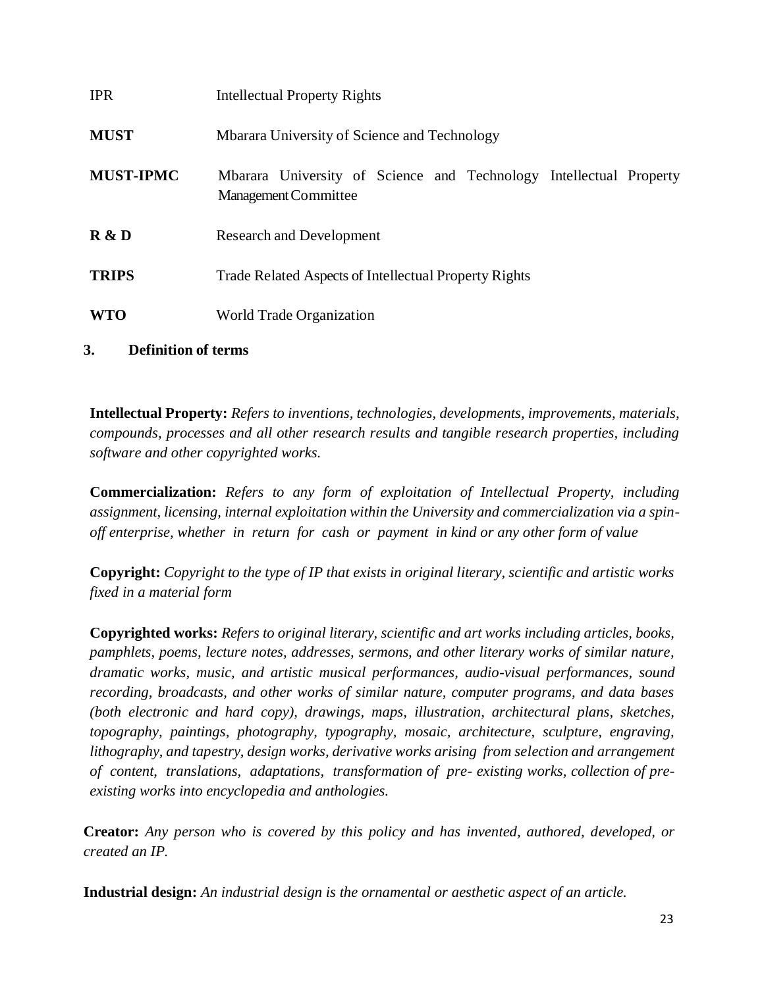| <b>IPR</b>       | <b>Intellectual Property Rights</b>                                                        |
|------------------|--------------------------------------------------------------------------------------------|
| <b>MUST</b>      | Mbarara University of Science and Technology                                               |
| <b>MUST-IPMC</b> | Mbarara University of Science and Technology Intellectual Property<br>Management Committee |
| R & D            | <b>Research and Development</b>                                                            |
| <b>TRIPS</b>     | Trade Related Aspects of Intellectual Property Rights                                      |
| <b>WTO</b>       | World Trade Organization                                                                   |

# <span id="page-4-0"></span>**3. Definition of terms**

**Intellectual Property:** *Refers to inventions, technologies, developments, improvements, materials, compounds, processes and all other research results and tangible research properties, including software and other copyrighted works.*

**Commercialization:** *Refers to any form of exploitation of Intellectual Property, including assignment, licensing, internal exploitation within the University and commercialization via a spinoff enterprise, whether in return for cash or payment in kind or any other form of value*

**Copyright:** *Copyright to the type of IP that exists in original literary, scientific and artistic works fixed in a material form* 

**Copyrighted works:** *Refers to original literary, scientific and art works including articles, books, pamphlets, poems, lecture notes, addresses, sermons, and other literary works of similar nature, dramatic works, music, and artistic musical performances, audio-visual performances, sound recording, broadcasts, and other works of similar nature, computer programs, and data bases (both electronic and hard copy), drawings, maps, illustration, architectural plans, sketches, topography, paintings, photography, typography, mosaic, architecture, sculpture, engraving, lithography, and tapestry, design works, derivative works arising from selection and arrangement of content, translations, adaptations, transformation of pre- existing works, collection of preexisting works into encyclopedia and anthologies.*

**Creator:** *Any person who is covered by this policy and has invented, authored, developed, or created an IP.*

**Industrial design:** *An industrial design is the ornamental or aesthetic aspect of an article.*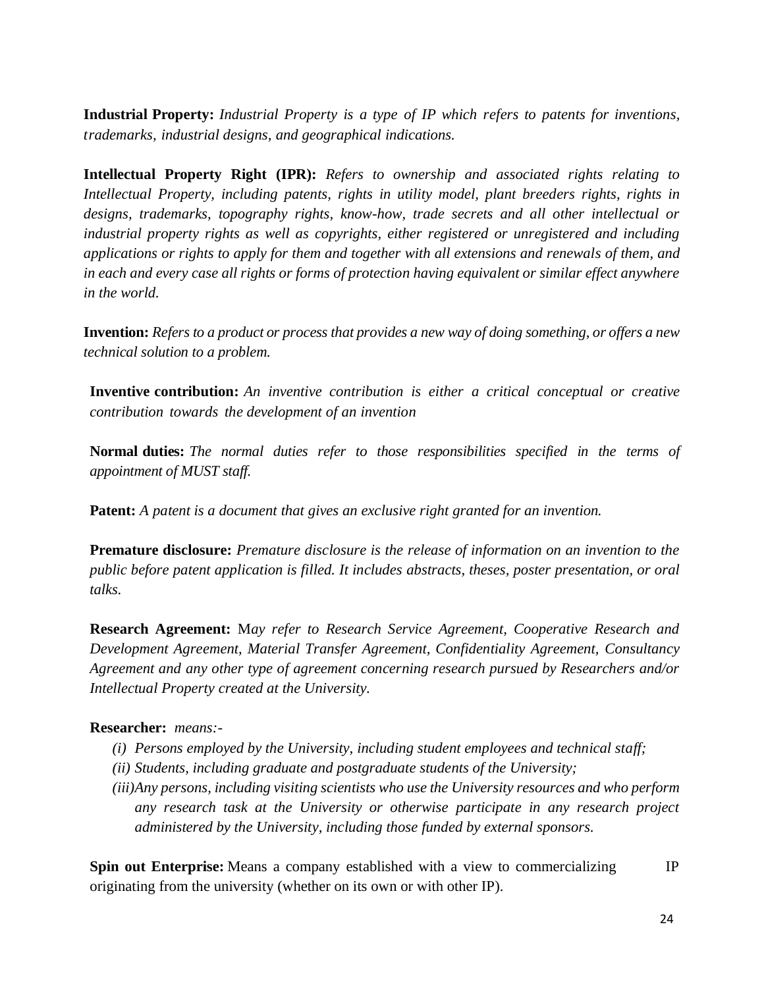**Industrial Property:** *Industrial Property is a type of IP which refers to patents for inventions, trademarks, industrial designs, and geographical indications.*

**Intellectual Property Right (IPR):** *Refers to ownership and associated rights relating to Intellectual Property, including patents, rights in utility model, plant breeders rights, rights in designs, trademarks, topography rights, know-how, trade secrets and all other intellectual or industrial property rights as well as copyrights, either registered or unregistered and including applications or rights to apply for them and together with all extensions and renewals of them, and in each and every case all rights or forms of protection having equivalent or similar effect anywhere in the world.*

**Invention:** *Refers to a product or process that provides a new way of doing something, or offers a new technical solution to a problem.*

**Inventive contribution:** *An inventive contribution is either a critical conceptual or creative contribution towards the development of an invention*

**Normal duties:** *The normal duties refer to those responsibilities specified in the terms of appointment of MUST staff.*

**Patent:** *A patent is a document that gives an exclusive right granted for an invention.*

**Premature disclosure:** *Premature disclosure is the release of information on an invention to the public before patent application is filled. It includes abstracts, theses, poster presentation, or oral talks.*

**Research Agreement:** M*ay refer to Research Service Agreement, Cooperative Research and Development Agreement, Material Transfer Agreement, Confidentiality Agreement, Consultancy Agreement and any other type of agreement concerning research pursued by Researchers and/or Intellectual Property created at the University.*

#### **Researcher:** *means:-*

- *(i) Persons employed by the University, including student employees and technical staff;*
- *(ii) Students, including graduate and postgraduate students of the University;*
- *(iii)Any persons, including visiting scientists who use the University resources and who perform any research task at the University or otherwise participate in any research project administered by the University, including those funded by external sponsors.*

**Spin out Enterprise:** Means a company established with a view to commercializing IP originating from the university (whether on its own or with other IP).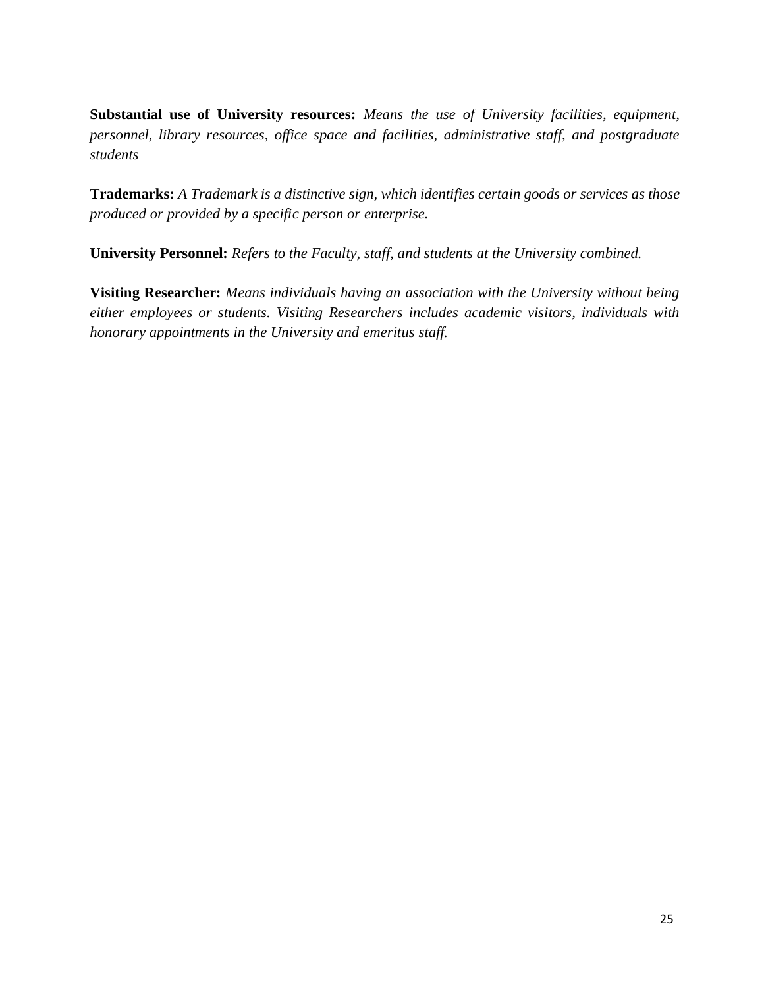**Substantial use of University resources:** *Means the use of University facilities, equipment, personnel, library resources, office space and facilities, administrative staff, and postgraduate students*

**Trademarks:** *A Trademark is a distinctive sign, which identifies certain goods or services as those produced or provided by a specific person or enterprise.*

**University Personnel:** *Refers to the Faculty, staff, and students at the University combined.*

**Visiting Researcher:** *Means individuals having an association with the University without being either employees or students. Visiting Researchers includes academic visitors, individuals with honorary appointments in the University and emeritus staff.*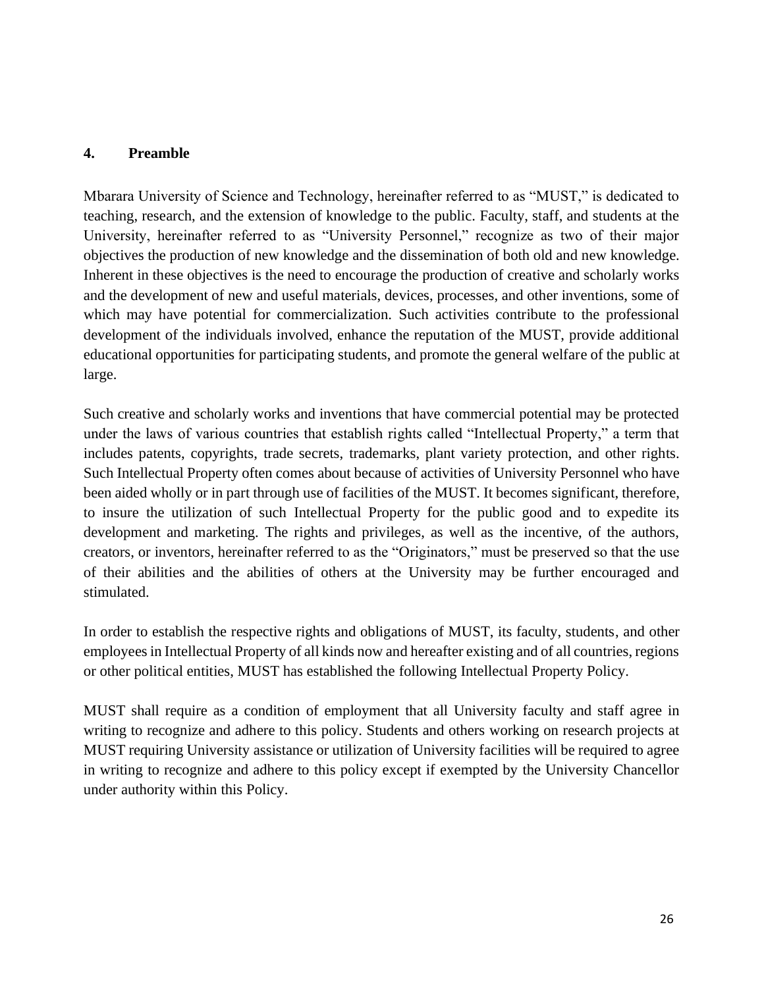#### <span id="page-7-0"></span>**4. Preamble**

Mbarara University of Science and Technology, hereinafter referred to as "MUST," is dedicated to teaching, research, and the extension of knowledge to the public. Faculty, staff, and students at the University, hereinafter referred to as "University Personnel," recognize as two of their major objectives the production of new knowledge and the dissemination of both old and new knowledge. Inherent in these objectives is the need to encourage the production of creative and scholarly works and the development of new and useful materials, devices, processes, and other inventions, some of which may have potential for commercialization. Such activities contribute to the professional development of the individuals involved, enhance the reputation of the MUST, provide additional educational opportunities for participating students, and promote the general welfare of the public at large.

Such creative and scholarly works and inventions that have commercial potential may be protected under the laws of various countries that establish rights called "Intellectual Property," a term that includes patents, copyrights, trade secrets, trademarks, plant variety protection, and other rights. Such Intellectual Property often comes about because of activities of University Personnel who have been aided wholly or in part through use of facilities of the MUST. It becomes significant, therefore, to insure the utilization of such Intellectual Property for the public good and to expedite its development and marketing. The rights and privileges, as well as the incentive, of the authors, creators, or inventors, hereinafter referred to as the "Originators," must be preserved so that the use of their abilities and the abilities of others at the University may be further encouraged and stimulated.

In order to establish the respective rights and obligations of MUST, its faculty, students, and other employees in Intellectual Property of all kinds now and hereafter existing and of all countries, regions or other political entities, MUST has established the following Intellectual Property Policy.

MUST shall require as a condition of employment that all University faculty and staff agree in writing to recognize and adhere to this policy. Students and others working on research projects at MUST requiring University assistance or utilization of University facilities will be required to agree in writing to recognize and adhere to this policy except if exempted by the University Chancellor under authority within this Policy.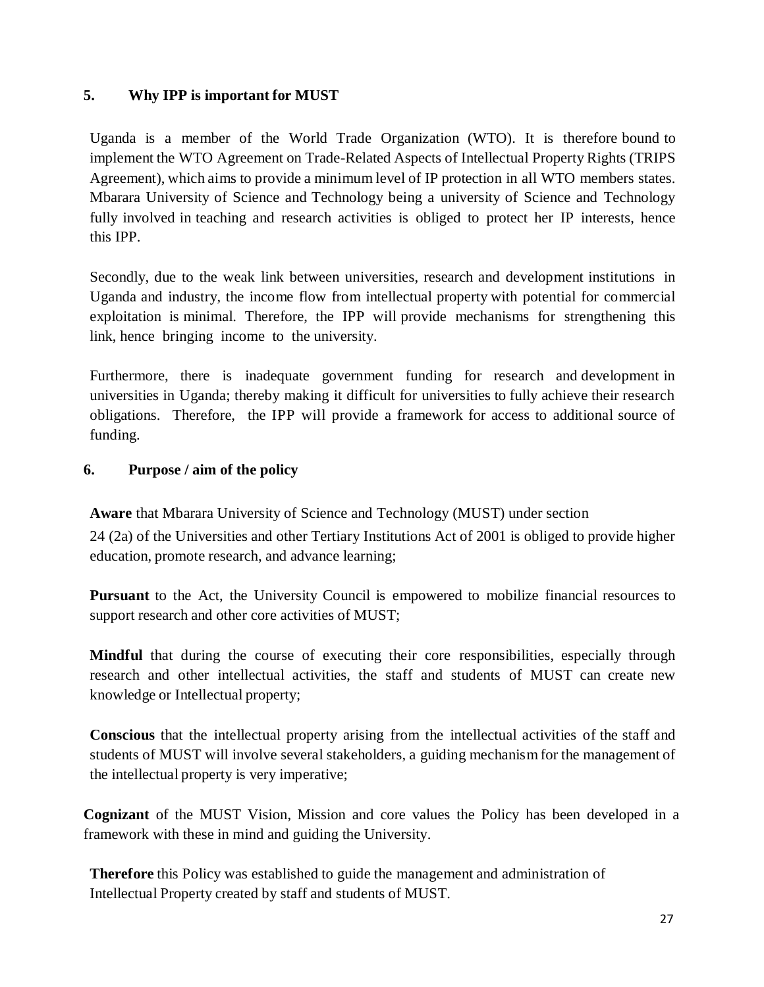# <span id="page-8-0"></span>**5. Why IPP is important for MUST**

Uganda is a member of the World Trade Organization (WTO). It is therefore bound to implement the WTO Agreement on Trade-Related Aspects of Intellectual Property Rights (TRIPS Agreement), which aims to provide a minimum level of IP protection in all WTO members states. Mbarara University of Science and Technology being a university of Science and Technology fully involved in teaching and research activities is obliged to protect her IP interests, hence this IPP.

Secondly, due to the weak link between universities, research and development institutions in Uganda and industry, the income flow from intellectual property with potential for commercial exploitation is minimal. Therefore, the IPP will provide mechanisms for strengthening this link, hence bringing income to the university.

Furthermore, there is inadequate government funding for research and development in universities in Uganda; thereby making it difficult for universities to fully achieve their research obligations. Therefore, the IPP will provide a framework for access to additional source of funding.

#### <span id="page-8-1"></span>**6. Purpose / aim of the policy**

**Aware** that Mbarara University of Science and Technology (MUST) under section

24 (2a) of the Universities and other Tertiary Institutions Act of 2001 is obliged to provide higher education, promote research, and advance learning;

**Pursuant** to the Act, the University Council is empowered to mobilize financial resources to support research and other core activities of MUST;

**Mindful** that during the course of executing their core responsibilities, especially through research and other intellectual activities, the staff and students of MUST can create new knowledge or Intellectual property;

**Conscious** that the intellectual property arising from the intellectual activities of the staff and students of MUST will involve several stakeholders, a guiding mechanism for the management of the intellectual property is very imperative;

**Cognizant** of the MUST Vision, Mission and core values the Policy has been developed in a framework with these in mind and guiding the University.

**Therefore** this Policy was established to guide the management and administration of Intellectual Property created by staff and students of MUST.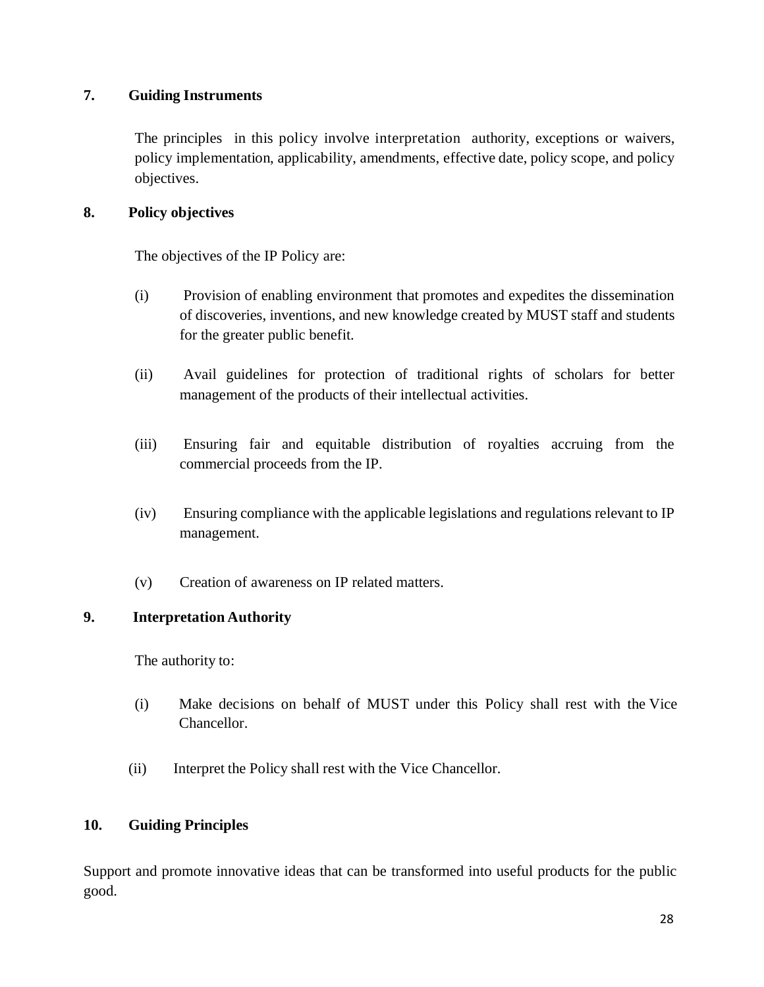# <span id="page-9-0"></span>**7. Guiding Instruments**

The principles in this policy involve interpretation authority, exceptions or waivers, policy implementation, applicability, amendments, effective date, policy scope, and policy objectives.

### <span id="page-9-1"></span>**8. Policy objectives**

The objectives of the IP Policy are:

- (i) Provision of enabling environment that promotes and expedites the dissemination of discoveries, inventions, and new knowledge created by MUST staff and students for the greater public benefit.
- (ii) Avail guidelines for protection of traditional rights of scholars for better management of the products of their intellectual activities.
- (iii) Ensuring fair and equitable distribution of royalties accruing from the commercial proceeds from the IP.
- (iv) Ensuring compliance with the applicable legislations and regulations relevant to IP management.
- <span id="page-9-2"></span>(v) Creation of awareness on IP related matters.

# **9. Interpretation Authority**

The authority to:

- (i) Make decisions on behalf of MUST under this Policy shall rest with the Vice Chancellor.
- (ii) Interpret the Policy shall rest with the Vice Chancellor.

#### <span id="page-9-3"></span>**10. Guiding Principles**

Support and promote innovative ideas that can be transformed into useful products for the public good.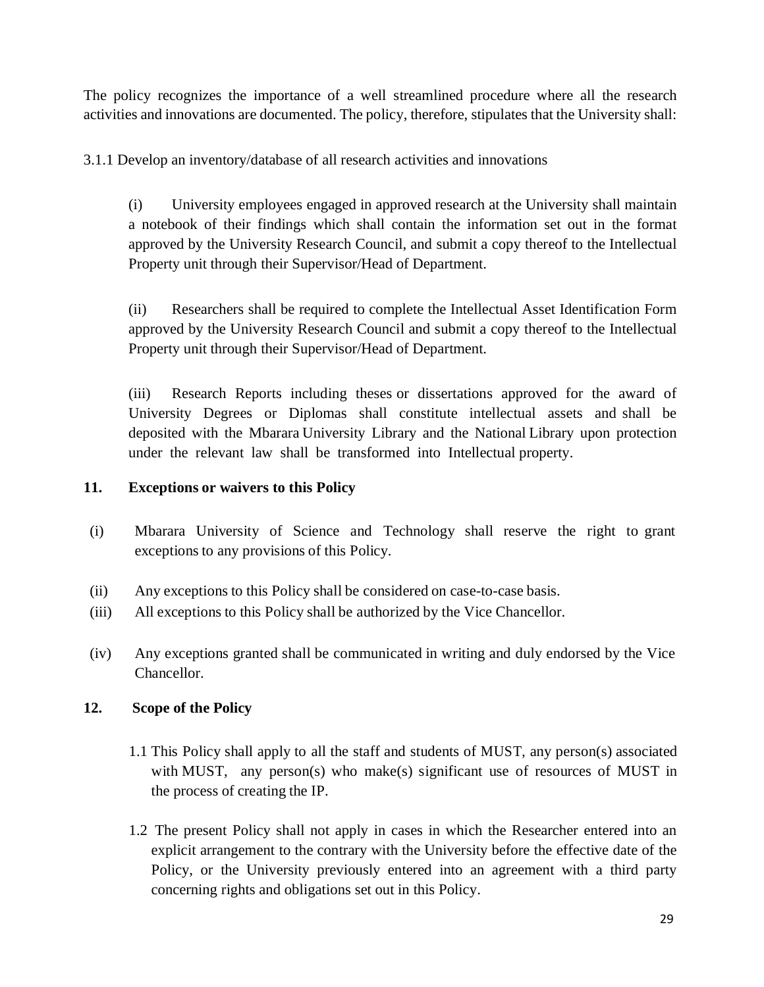The policy recognizes the importance of a well streamlined procedure where all the research activities and innovations are documented. The policy, therefore, stipulates that the University shall:

3.1.1 Develop an inventory/database of all research activities and innovations

(i) University employees engaged in approved research at the University shall maintain a notebook of their findings which shall contain the information set out in the format approved by the University Research Council, and submit a copy thereof to the Intellectual Property unit through their Supervisor/Head of Department.

(ii) Researchers shall be required to complete the Intellectual Asset Identification Form approved by the University Research Council and submit a copy thereof to the Intellectual Property unit through their Supervisor/Head of Department.

(iii) Research Reports including theses or dissertations approved for the award of University Degrees or Diplomas shall constitute intellectual assets and shall be deposited with the Mbarara University Library and the National Library upon protection under the relevant law shall be transformed into Intellectual property.

### <span id="page-10-0"></span>**11. Exceptions or waivers to this Policy**

- (i) Mbarara University of Science and Technology shall reserve the right to grant exceptions to any provisions of this Policy.
- (ii) Any exceptions to this Policy shall be considered on case-to-case basis.
- (iii) All exceptions to this Policy shall be authorized by the Vice Chancellor.
- (iv) Any exceptions granted shall be communicated in writing and duly endorsed by the Vice Chancellor.

#### <span id="page-10-1"></span>**12. Scope of the Policy**

- 1.1 This Policy shall apply to all the staff and students of MUST, any person(s) associated with MUST, any person(s) who make(s) significant use of resources of MUST in the process of creating the IP.
- 1.2 The present Policy shall not apply in cases in which the Researcher entered into an explicit arrangement to the contrary with the University before the effective date of the Policy, or the University previously entered into an agreement with a third party concerning rights and obligations set out in this Policy.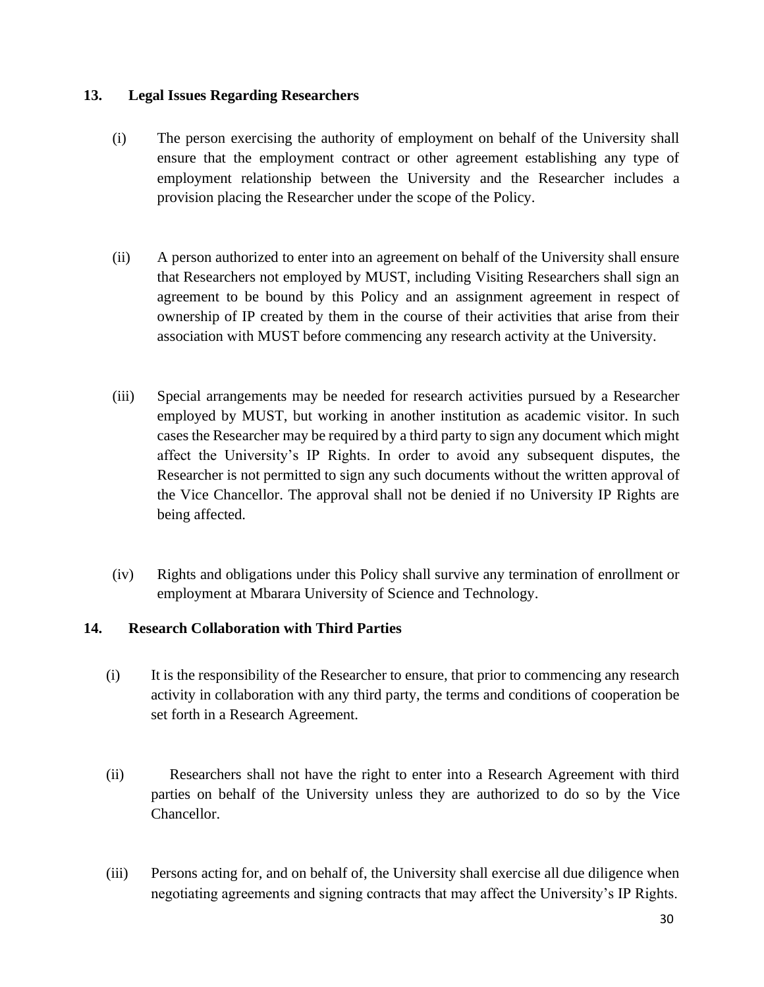#### <span id="page-11-0"></span>**13. Legal Issues Regarding Researchers**

- (i) The person exercising the authority of employment on behalf of the University shall ensure that the employment contract or other agreement establishing any type of employment relationship between the University and the Researcher includes a provision placing the Researcher under the scope of the Policy.
- (ii) A person authorized to enter into an agreement on behalf of the University shall ensure that Researchers not employed by MUST, including Visiting Researchers shall sign an agreement to be bound by this Policy and an assignment agreement in respect of ownership of IP created by them in the course of their activities that arise from their association with MUST before commencing any research activity at the University.
- (iii) Special arrangements may be needed for research activities pursued by a Researcher employed by MUST, but working in another institution as academic visitor. In such cases the Researcher may be required by a third party to sign any document which might affect the University's IP Rights. In order to avoid any subsequent disputes, the Researcher is not permitted to sign any such documents without the written approval of the Vice Chancellor. The approval shall not be denied if no University IP Rights are being affected.
- (iv) Rights and obligations under this Policy shall survive any termination of enrollment or employment at Mbarara University of Science and Technology.

#### <span id="page-11-1"></span>**14. Research Collaboration with Third Parties**

- (i) It is the responsibility of the Researcher to ensure, that prior to commencing any research activity in collaboration with any third party, the terms and conditions of cooperation be set forth in a Research Agreement.
- (ii) Researchers shall not have the right to enter into a Research Agreement with third parties on behalf of the University unless they are authorized to do so by the Vice Chancellor.
- (iii) Persons acting for, and on behalf of, the University shall exercise all due diligence when negotiating agreements and signing contracts that may affect the University's IP Rights.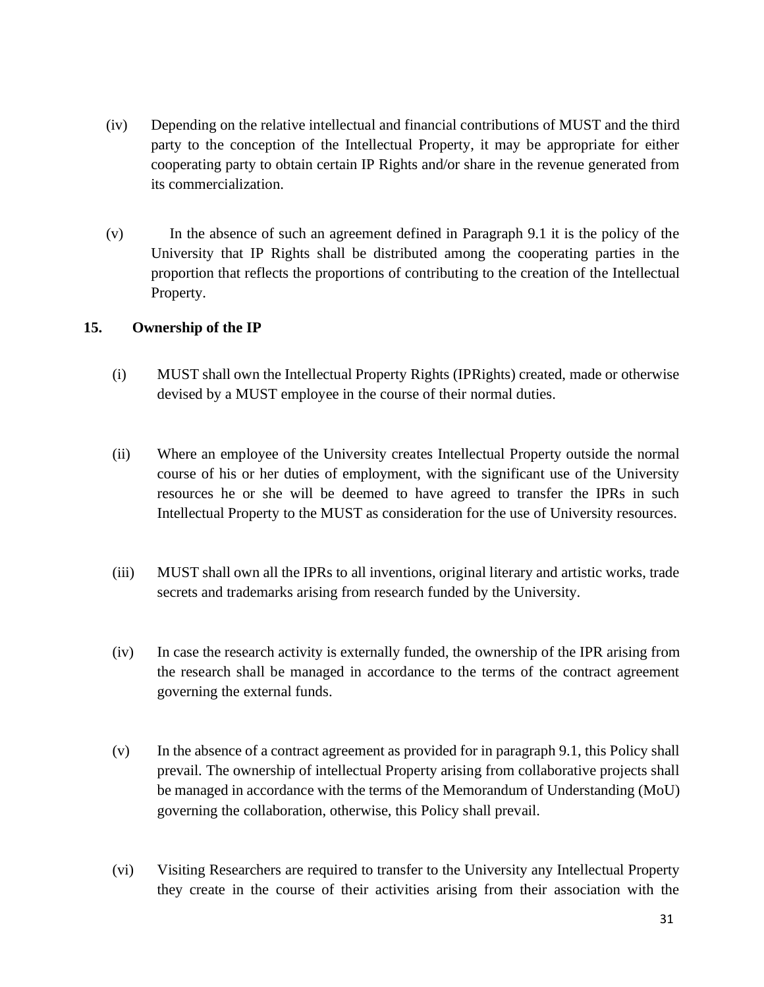- (iv) Depending on the relative intellectual and financial contributions of MUST and the third party to the conception of the Intellectual Property, it may be appropriate for either cooperating party to obtain certain IP Rights and/or share in the revenue generated from its commercialization.
- (v) In the absence of such an agreement defined in Paragraph 9.1 it is the policy of the University that IP Rights shall be distributed among the cooperating parties in the proportion that reflects the proportions of contributing to the creation of the Intellectual Property.

#### <span id="page-12-0"></span>**15. Ownership of the IP**

- (i) MUST shall own the Intellectual Property Rights (IPRights) created, made or otherwise devised by a MUST employee in the course of their normal duties.
- (ii) Where an employee of the University creates Intellectual Property outside the normal course of his or her duties of employment, with the significant use of the University resources he or she will be deemed to have agreed to transfer the IPRs in such Intellectual Property to the MUST as consideration for the use of University resources.
- (iii) MUST shall own all the IPRs to all inventions, original literary and artistic works, trade secrets and trademarks arising from research funded by the University.
- (iv) In case the research activity is externally funded, the ownership of the IPR arising from the research shall be managed in accordance to the terms of the contract agreement governing the external funds.
- (v) In the absence of a contract agreement as provided for in paragraph 9.1, this Policy shall prevail. The ownership of intellectual Property arising from collaborative projects shall be managed in accordance with the terms of the Memorandum of Understanding (MoU) governing the collaboration, otherwise, this Policy shall prevail.
- (vi) Visiting Researchers are required to transfer to the University any Intellectual Property they create in the course of their activities arising from their association with the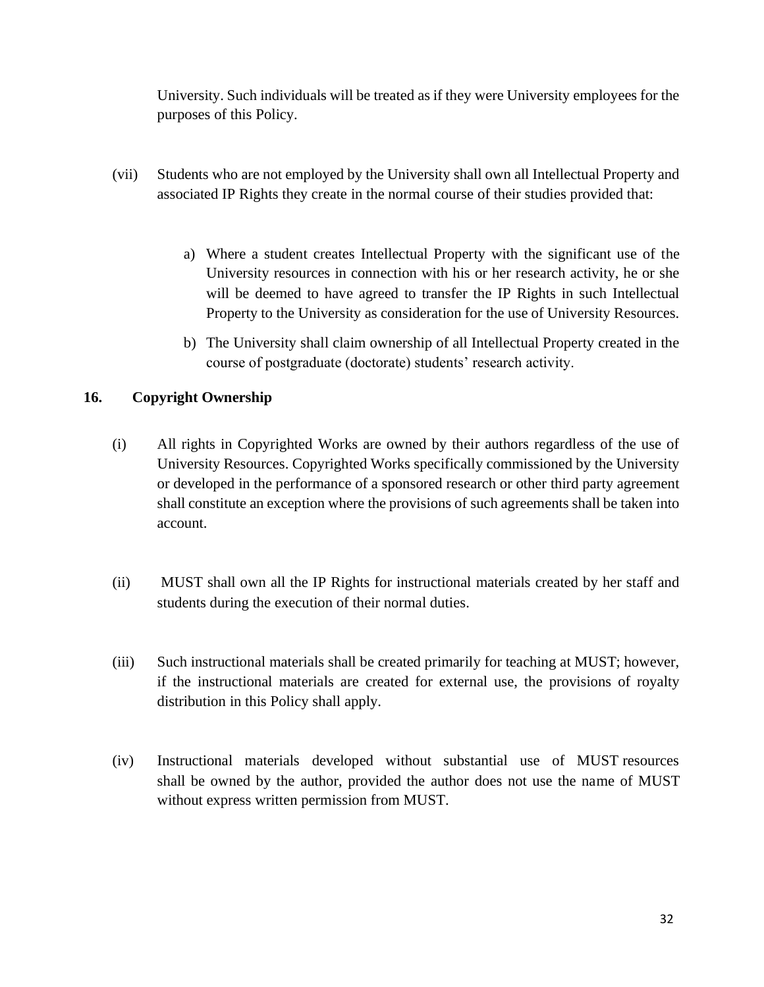University. Such individuals will be treated as if they were University employees for the purposes of this Policy.

- (vii) Students who are not employed by the University shall own all Intellectual Property and associated IP Rights they create in the normal course of their studies provided that:
	- a) Where a student creates Intellectual Property with the significant use of the University resources in connection with his or her research activity, he or she will be deemed to have agreed to transfer the IP Rights in such Intellectual Property to the University as consideration for the use of University Resources.
	- b) The University shall claim ownership of all Intellectual Property created in the course of postgraduate (doctorate) students' research activity.

#### <span id="page-13-0"></span>**16. Copyright Ownership**

- (i) All rights in Copyrighted Works are owned by their authors regardless of the use of University Resources. Copyrighted Works specifically commissioned by the University or developed in the performance of a sponsored research or other third party agreement shall constitute an exception where the provisions of such agreements shall be taken into account.
- (ii) MUST shall own all the IP Rights for instructional materials created by her staff and students during the execution of their normal duties.
- (iii) Such instructional materials shall be created primarily for teaching at MUST; however, if the instructional materials are created for external use, the provisions of royalty distribution in this Policy shall apply.
- (iv) Instructional materials developed without substantial use of MUST resources shall be owned by the author, provided the author does not use the name of MUST without express written permission from MUST.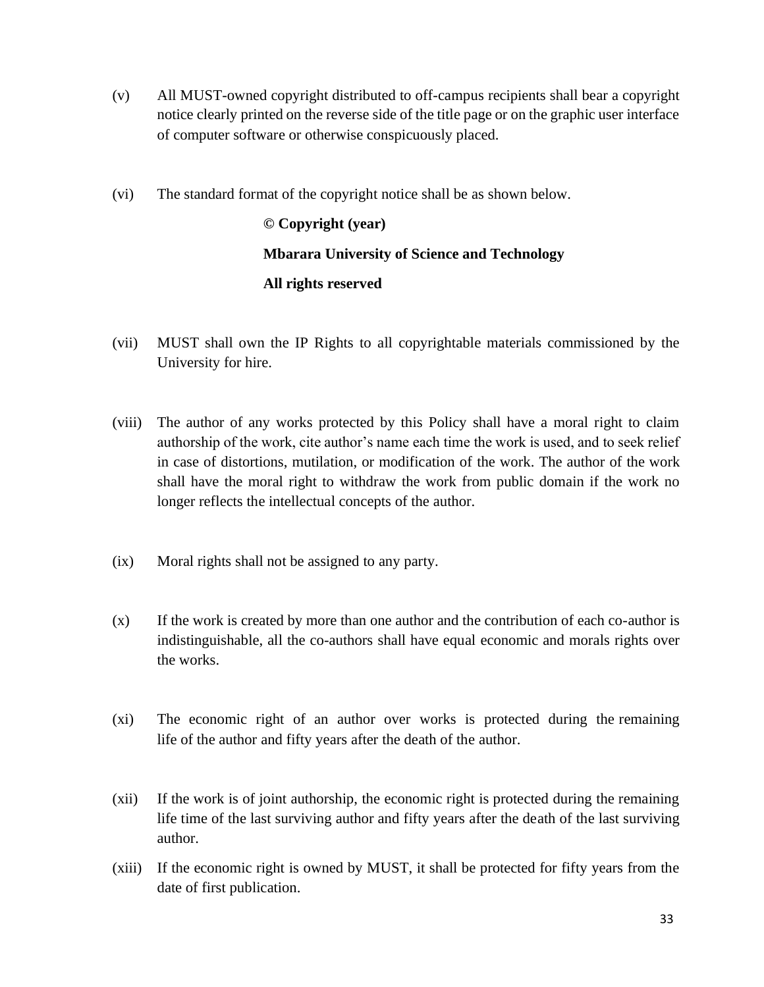- (v) All MUST-owned copyright distributed to off-campus recipients shall bear a copyright notice clearly printed on the reverse side of the title page or on the graphic user interface of computer software or otherwise conspicuously placed.
- (vi) The standard format of the copyright notice shall be as shown below.

**© Copyright (year) Mbarara University of Science and Technology All rights reserved**

- (vii) MUST shall own the IP Rights to all copyrightable materials commissioned by the University for hire.
- (viii) The author of any works protected by this Policy shall have a moral right to claim authorship of the work, cite author's name each time the work is used, and to seek relief in case of distortions, mutilation, or modification of the work. The author of the work shall have the moral right to withdraw the work from public domain if the work no longer reflects the intellectual concepts of the author.
- (ix) Moral rights shall not be assigned to any party.
- (x) If the work is created by more than one author and the contribution of each co-author is indistinguishable, all the co-authors shall have equal economic and morals rights over the works.
- (xi) The economic right of an author over works is protected during the remaining life of the author and fifty years after the death of the author.
- (xii) If the work is of joint authorship, the economic right is protected during the remaining life time of the last surviving author and fifty years after the death of the last surviving author.
- (xiii) If the economic right is owned by MUST, it shall be protected for fifty years from the date of first publication.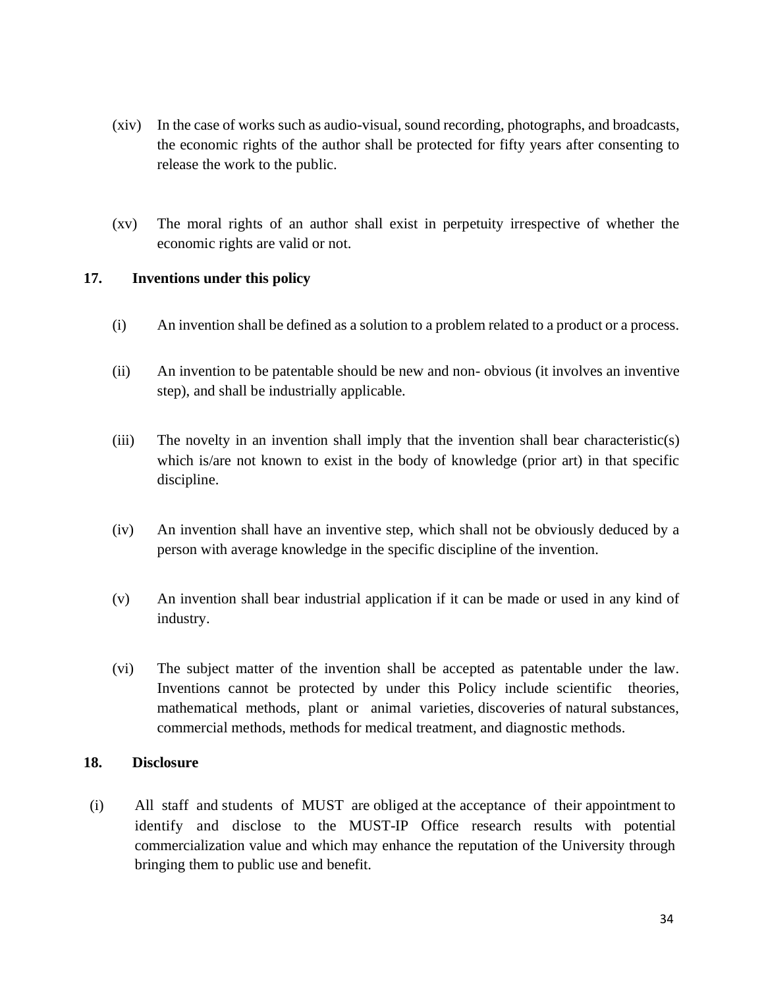- (xiv) In the case of works such as audio-visual, sound recording, photographs, and broadcasts, the economic rights of the author shall be protected for fifty years after consenting to release the work to the public.
- (xv) The moral rights of an author shall exist in perpetuity irrespective of whether the economic rights are valid or not.

#### <span id="page-15-0"></span>**17. Inventions under this policy**

- (i) An invention shall be defined as a solution to a problem related to a product or a process.
- (ii) An invention to be patentable should be new and non- obvious (it involves an inventive step), and shall be industrially applicable.
- (iii) The novelty in an invention shall imply that the invention shall bear characteristic(s) which is/are not known to exist in the body of knowledge (prior art) in that specific discipline.
- (iv) An invention shall have an inventive step, which shall not be obviously deduced by a person with average knowledge in the specific discipline of the invention.
- (v) An invention shall bear industrial application if it can be made or used in any kind of industry.
- (vi) The subject matter of the invention shall be accepted as patentable under the law. Inventions cannot be protected by under this Policy include scientific theories, mathematical methods, plant or animal varieties, discoveries of natural substances, commercial methods, methods for medical treatment, and diagnostic methods.

#### <span id="page-15-1"></span>**18. Disclosure**

(i) All staff and students of MUST are obliged at the acceptance of their appointment to identify and disclose to the MUST-IP Office research results with potential commercialization value and which may enhance the reputation of the University through bringing them to public use and benefit.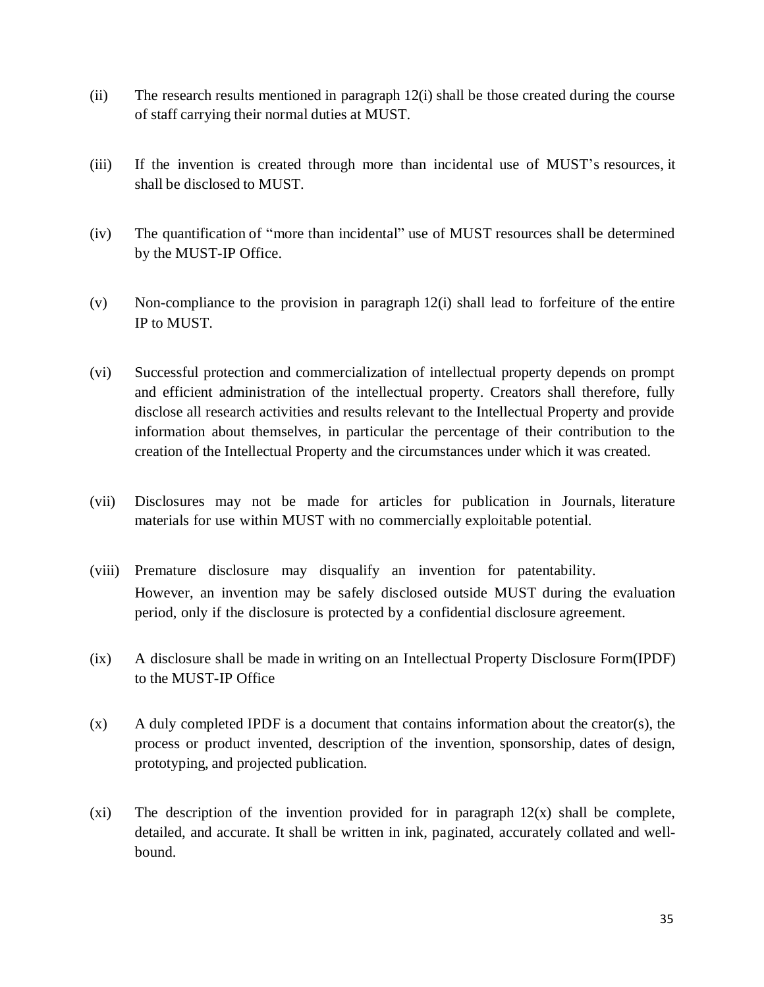- (ii) The research results mentioned in paragraph 12(i) shall be those created during the course of staff carrying their normal duties at MUST.
- (iii) If the invention is created through more than incidental use of MUST's resources, it shall be disclosed to MUST.
- (iv) The quantification of "more than incidental" use of MUST resources shall be determined by the MUST-IP Office.
- (v) Non-compliance to the provision in paragraph 12(i) shall lead to forfeiture of the entire IP to MUST.
- (vi) Successful protection and commercialization of intellectual property depends on prompt and efficient administration of the intellectual property. Creators shall therefore, fully disclose all research activities and results relevant to the Intellectual Property and provide information about themselves, in particular the percentage of their contribution to the creation of the Intellectual Property and the circumstances under which it was created.
- (vii) Disclosures may not be made for articles for publication in Journals, literature materials for use within MUST with no commercially exploitable potential.
- (viii) Premature disclosure may disqualify an invention for patentability. However, an invention may be safely disclosed outside MUST during the evaluation period, only if the disclosure is protected by a confidential disclosure agreement.
- (ix) A disclosure shall be made in writing on an Intellectual Property Disclosure Form(IPDF) to the MUST-IP Office
- (x) A duly completed IPDF is a document that contains information about the creator(s), the process or product invented, description of the invention, sponsorship, dates of design, prototyping, and projected publication.
- (xi) The description of the invention provided for in paragraph  $12(x)$  shall be complete, detailed, and accurate. It shall be written in ink, paginated, accurately collated and wellbound.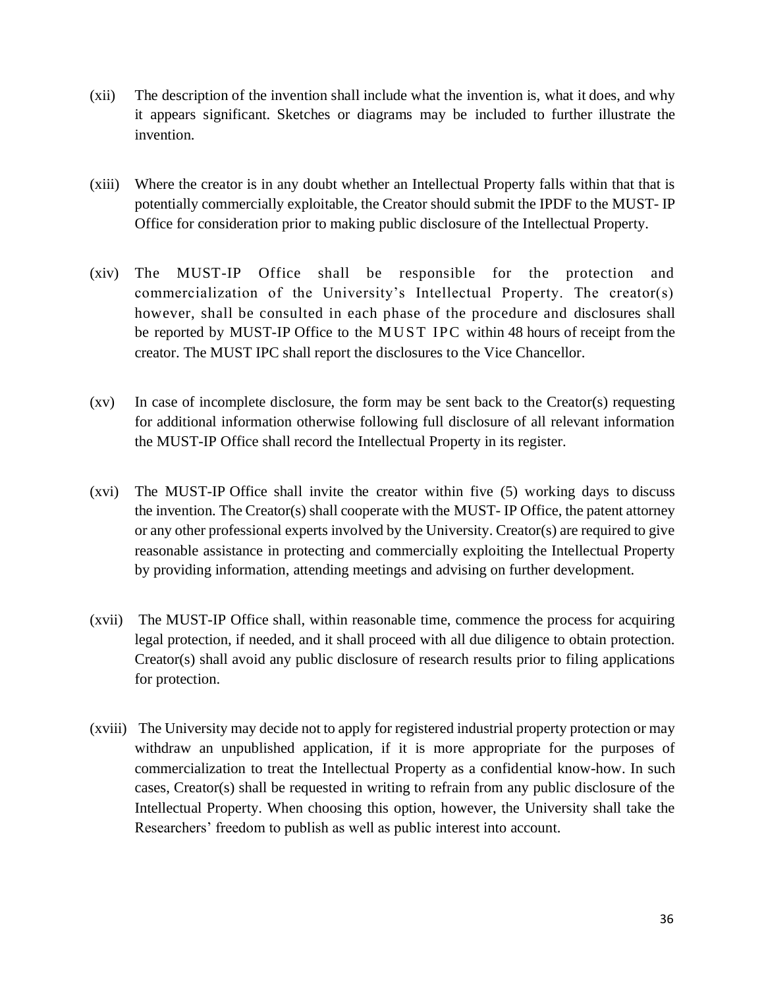- (xii) The description of the invention shall include what the invention is, what it does, and why it appears significant. Sketches or diagrams may be included to further illustrate the invention.
- (xiii) Where the creator is in any doubt whether an Intellectual Property falls within that that is potentially commercially exploitable, the Creator should submit the IPDF to the MUST- IP Office for consideration prior to making public disclosure of the Intellectual Property.
- (xiv) The MUST-IP Office shall be responsible for the protection and commercialization of the University's Intellectual Property. The creator(s) however, shall be consulted in each phase of the procedure and disclosures shall be reported by MUST-IP Office to the MUST IPC within 48 hours of receipt from the creator. The MUST IPC shall report the disclosures to the Vice Chancellor.
- (xv) In case of incomplete disclosure, the form may be sent back to the Creator(s) requesting for additional information otherwise following full disclosure of all relevant information the MUST-IP Office shall record the Intellectual Property in its register.
- (xvi) The MUST-IP Office shall invite the creator within five (5) working days to discuss the invention. The Creator(s) shall cooperate with the MUST- IP Office, the patent attorney or any other professional experts involved by the University. Creator(s) are required to give reasonable assistance in protecting and commercially exploiting the Intellectual Property by providing information, attending meetings and advising on further development.
- (xvii) The MUST-IP Office shall, within reasonable time, commence the process for acquiring legal protection, if needed, and it shall proceed with all due diligence to obtain protection. Creator(s) shall avoid any public disclosure of research results prior to filing applications for protection.
- (xviii) The University may decide not to apply for registered industrial property protection or may withdraw an unpublished application, if it is more appropriate for the purposes of commercialization to treat the Intellectual Property as a confidential know-how. In such cases, Creator(s) shall be requested in writing to refrain from any public disclosure of the Intellectual Property. When choosing this option, however, the University shall take the Researchers' freedom to publish as well as public interest into account.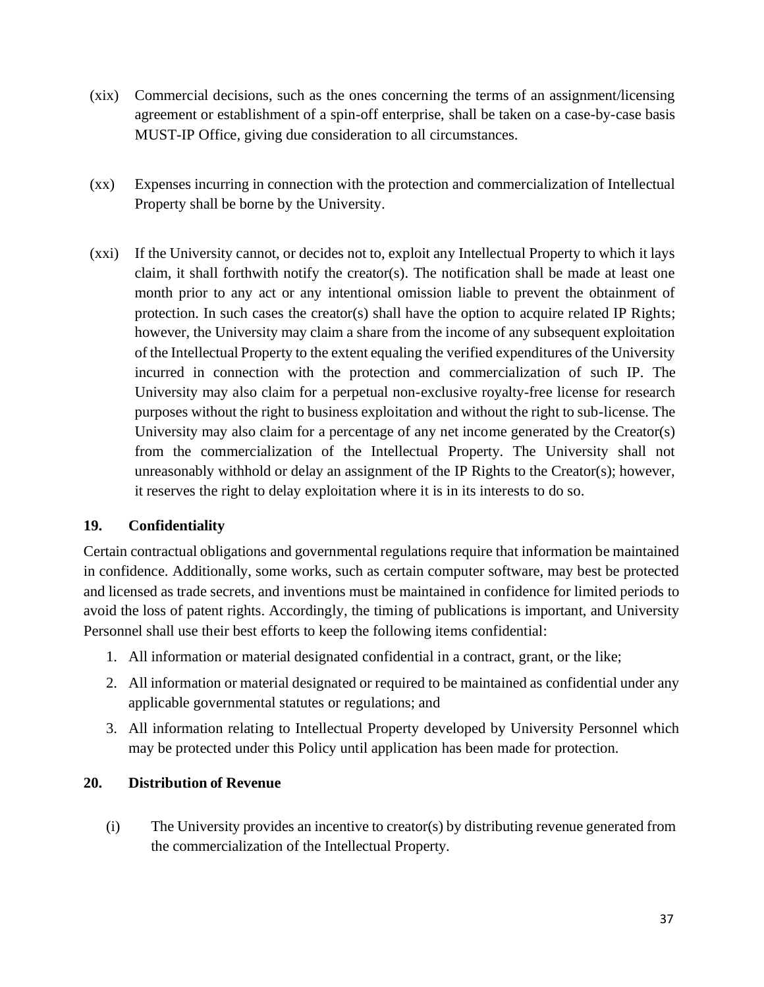- (xix) Commercial decisions, such as the ones concerning the terms of an assignment/licensing agreement or establishment of a spin-off enterprise, shall be taken on a case-by-case basis MUST-IP Office*,* giving due consideration to all circumstances.
- (xx) Expenses incurring in connection with the protection and commercialization of Intellectual Property shall be borne by the University.
- (xxi) If the University cannot, or decides not to, exploit any Intellectual Property to which it lays claim, it shall forthwith notify the creator(s). The notification shall be made at least one month prior to any act or any intentional omission liable to prevent the obtainment of protection. In such cases the creator(s) shall have the option to acquire related IP Rights; however, the University may claim a share from the income of any subsequent exploitation of the Intellectual Property to the extent equaling the verified expenditures of the University incurred in connection with the protection and commercialization of such IP. The University may also claim for a perpetual non-exclusive royalty-free license for research purposes without the right to business exploitation and without the right to sub-license. The University may also claim for a percentage of any net income generated by the Creator(s) from the commercialization of the Intellectual Property. The University shall not unreasonably withhold or delay an assignment of the IP Rights to the Creator(s); however, it reserves the right to delay exploitation where it is in its interests to do so.

#### <span id="page-18-0"></span>**19. Confidentiality**

Certain contractual obligations and governmental regulations require that information be maintained in confidence. Additionally, some works, such as certain computer software, may best be protected and licensed as trade secrets, and inventions must be maintained in confidence for limited periods to avoid the loss of patent rights. Accordingly, the timing of publications is important, and University Personnel shall use their best efforts to keep the following items confidential:

- 1. All information or material designated confidential in a contract, grant, or the like;
- 2. All information or material designated or required to be maintained as confidential under any applicable governmental statutes or regulations; and
- 3. All information relating to Intellectual Property developed by University Personnel which may be protected under this Policy until application has been made for protection.

#### <span id="page-18-1"></span>**20. Distribution of Revenue**

(i) The University provides an incentive to creator(s) by distributing revenue generated from the commercialization of the Intellectual Property.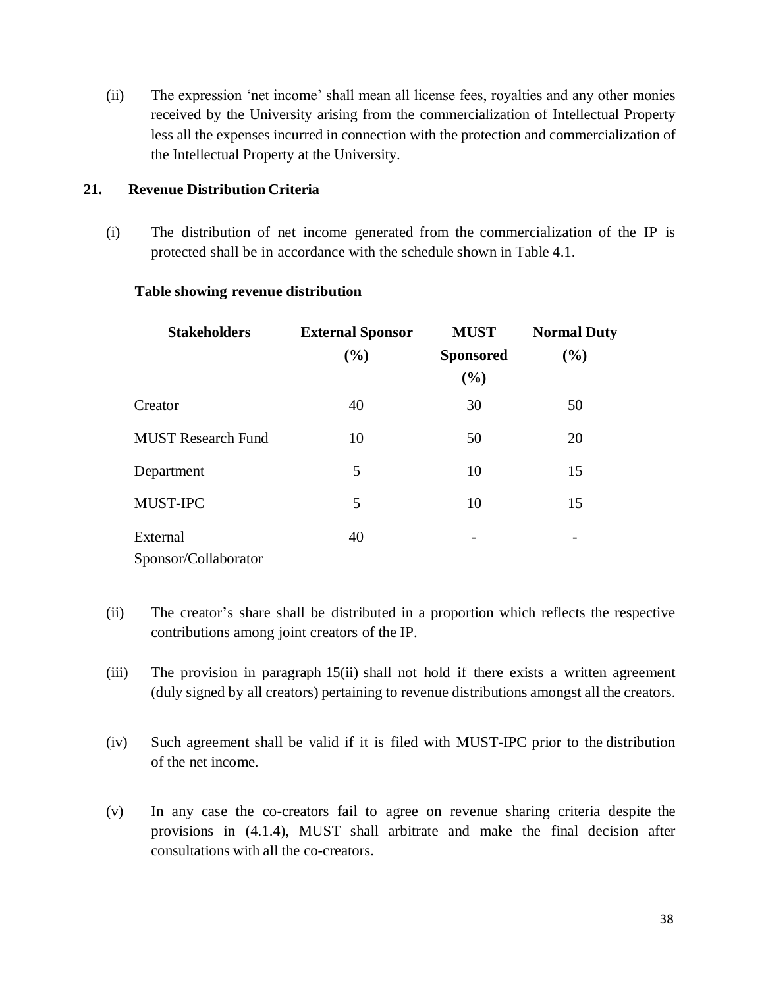(ii) The expression 'net income' shall mean all license fees, royalties and any other monies received by the University arising from the commercialization of Intellectual Property less all the expenses incurred in connection with the protection and commercialization of the Intellectual Property at the University.

#### <span id="page-19-0"></span>**21. Revenue Distribution Criteria**

(i) The distribution of net income generated from the commercialization of the IP is protected shall be in accordance with the schedule shown in Table 4.1.

| <b>Stakeholders</b>       | <b>External Sponsor</b><br>(%) | <b>MUST</b><br><b>Sponsored</b><br>(%) | <b>Normal Duty</b> |         |
|---------------------------|--------------------------------|----------------------------------------|--------------------|---------|
|                           |                                |                                        | (%)                |         |
|                           |                                |                                        |                    | Creator |
| <b>MUST Research Fund</b> | 10                             | 50                                     | 20                 |         |
| Department                | 5                              | 10                                     | 15                 |         |
| MUST-IPC                  | 5                              | 10                                     | 15                 |         |
| External                  | 40                             |                                        |                    |         |
| Sponsor/Collaborator      |                                |                                        |                    |         |

#### **Table showing revenue distribution**

- (ii) The creator's share shall be distributed in a proportion which reflects the respective contributions among joint creators of the IP.
- (iii) The provision in paragraph 15(ii) shall not hold if there exists a written agreement (duly signed by all creators) pertaining to revenue distributions amongst all the creators.
- (iv) Such agreement shall be valid if it is filed with MUST-IPC prior to the distribution of the net income.
- (v) In any case the co-creators fail to agree on revenue sharing criteria despite the provisions in (4.1.4), MUST shall arbitrate and make the final decision after consultations with all the co-creators.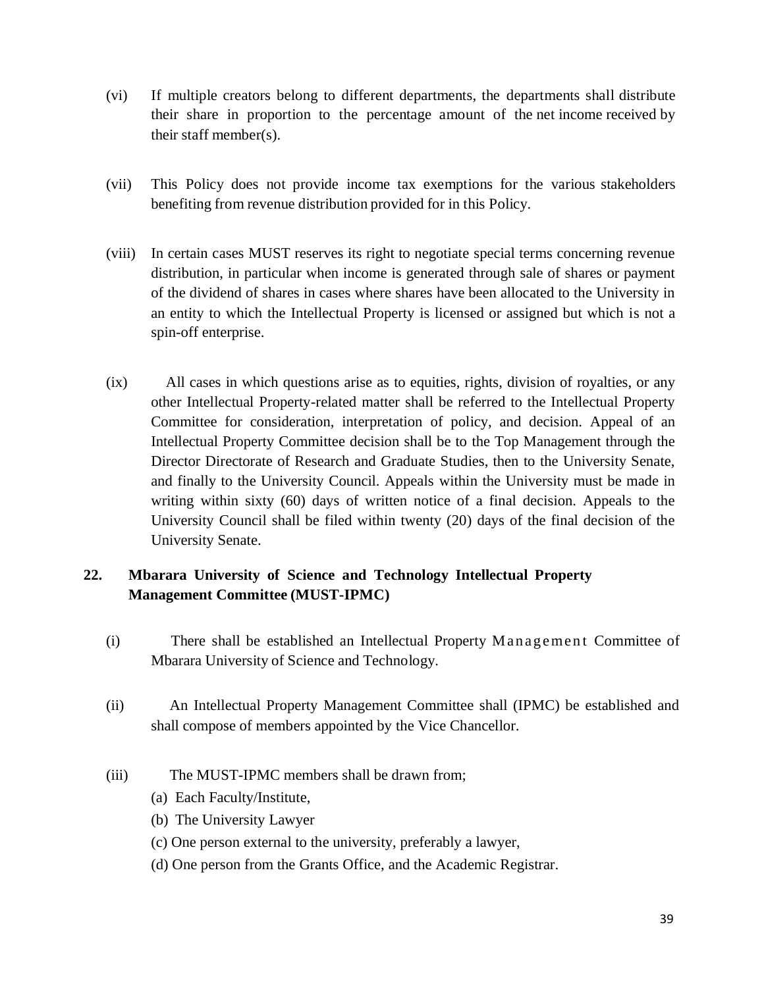- (vi) If multiple creators belong to different departments, the departments shall distribute their share in proportion to the percentage amount of the net income received by their staff member(s).
- (vii) This Policy does not provide income tax exemptions for the various stakeholders benefiting from revenue distribution provided for in this Policy.
- (viii) In certain cases MUST reserves its right to negotiate special terms concerning revenue distribution, in particular when income is generated through sale of shares or payment of the dividend of shares in cases where shares have been allocated to the University in an entity to which the Intellectual Property is licensed or assigned but which is not a spin-off enterprise.
- (ix) All cases in which questions arise as to equities, rights, division of royalties, or any other Intellectual Property-related matter shall be referred to the Intellectual Property Committee for consideration, interpretation of policy, and decision. Appeal of an Intellectual Property Committee decision shall be to the Top Management through the Director Directorate of Research and Graduate Studies, then to the University Senate, and finally to the University Council. Appeals within the University must be made in writing within sixty (60) days of written notice of a final decision. Appeals to the University Council shall be filed within twenty (20) days of the final decision of the University Senate.

# <span id="page-20-0"></span>**22. Mbarara University of Science and Technology Intellectual Property Management Committee (MUST-IPMC)**

- (i) There shall be established an Intellectual Property Management Committee of Mbarara University of Science and Technology.
- (ii) An Intellectual Property Management Committee shall (IPMC) be established and shall compose of members appointed by the Vice Chancellor.
- (iii) The MUST-IPMC members shall be drawn from;
	- (a) Each Faculty/Institute,
	- (b) The University Lawyer
	- (c) One person external to the university, preferably a lawyer,
	- (d) One person from the Grants Office, and the Academic Registrar.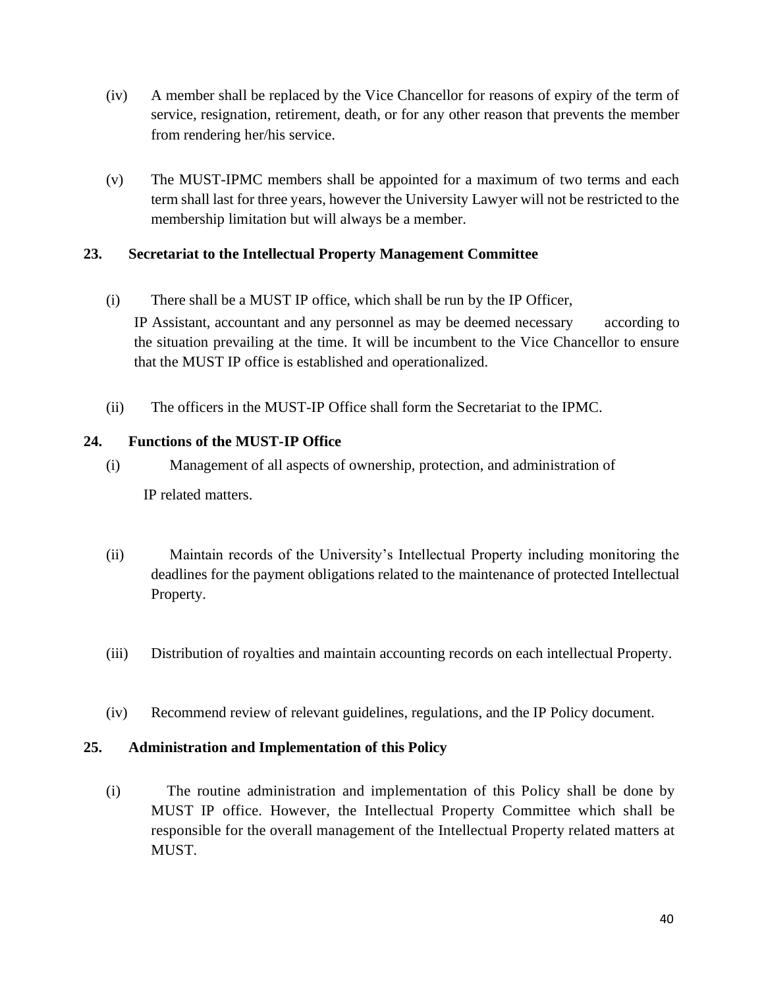- (iv) A member shall be replaced by the Vice Chancellor for reasons of expiry of the term of service, resignation, retirement, death, or for any other reason that prevents the member from rendering her/his service.
- (v) The MUST-IPMC members shall be appointed for a maximum of two terms and each term shall last for three years, however the University Lawyer will not be restricted to the membership limitation but will always be a member.

#### <span id="page-21-0"></span>**23. Secretariat to the Intellectual Property Management Committee**

- (i) There shall be a MUST IP office, which shall be run by the IP Officer, IP Assistant, accountant and any personnel as may be deemed necessary according to the situation prevailing at the time. It will be incumbent to the Vice Chancellor to ensure that the MUST IP office is established and operationalized.
- (ii) The officers in the MUST-IP Office shall form the Secretariat to the IPMC.

# <span id="page-21-1"></span>**24. Functions of the MUST-IP Office**

- (i) Management of all aspects of ownership, protection, and administration of IP related matters.
- (ii) Maintain records of the University's Intellectual Property including monitoring the deadlines for the payment obligations related to the maintenance of protected Intellectual Property.
- (iii) Distribution of royalties and maintain accounting records on each intellectual Property.
- (iv) Recommend review of relevant guidelines, regulations, and the IP Policy document.

#### <span id="page-21-2"></span>**25. Administration and Implementation of this Policy**

(i) The routine administration and implementation of this Policy shall be done by MUST IP office. However, the Intellectual Property Committee which shall be responsible for the overall management of the Intellectual Property related matters at MUST.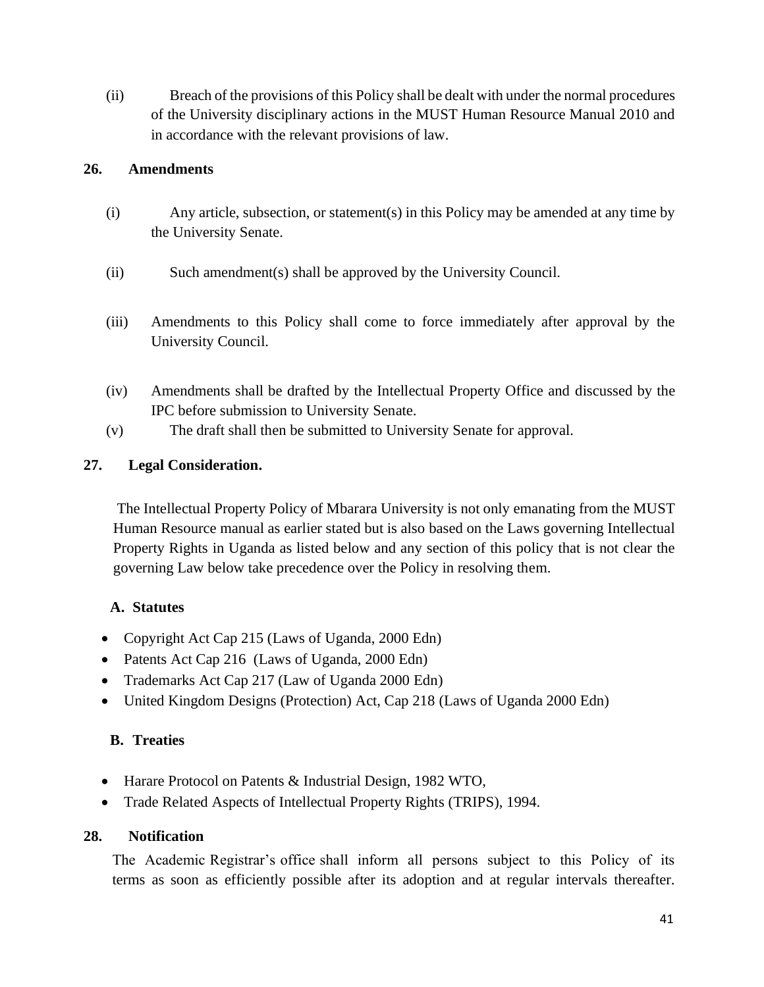(ii) Breach of the provisions of this Policy shall be dealt with under the normal procedures of the University disciplinary actions in the MUST Human Resource Manual 2010 and in accordance with the relevant provisions of law.

#### <span id="page-22-0"></span>**26. Amendments**

- (i) Any article, subsection, or statement(s) in this Policy may be amended at any time by the University Senate.
- (ii) Such amendment(s) shall be approved by the University Council.
- (iii) Amendments to this Policy shall come to force immediately after approval by the University Council.
- (iv) Amendments shall be drafted by the Intellectual Property Office and discussed by the IPC before submission to University Senate.
- (v) The draft shall then be submitted to University Senate for approval.

#### <span id="page-22-1"></span>**27. Legal Consideration.**

The Intellectual Property Policy of Mbarara University is not only emanating from the MUST Human Resource manual as earlier stated but is also based on the Laws governing Intellectual Property Rights in Uganda as listed below and any section of this policy that is not clear the governing Law below take precedence over the Policy in resolving them.

#### **A. Statutes**

- Copyright Act Cap 215 (Laws of Uganda, 2000 Edn)
- Patents Act Cap 216 (Laws of Uganda, 2000 Edn)
- Trademarks Act Cap 217 (Law of Uganda 2000 Edn)
- United Kingdom Designs (Protection) Act, Cap 218 (Laws of Uganda 2000 Edn)

#### **B. Treaties**

- Harare Protocol on Patents & Industrial Design, 1982 WTO,
- Trade Related Aspects of Intellectual Property Rights (TRIPS), 1994.

#### <span id="page-22-2"></span>**28. Notification**

The Academic Registrar's office shall inform all persons subject to this Policy of its terms as soon as efficiently possible after its adoption and at regular intervals thereafter.